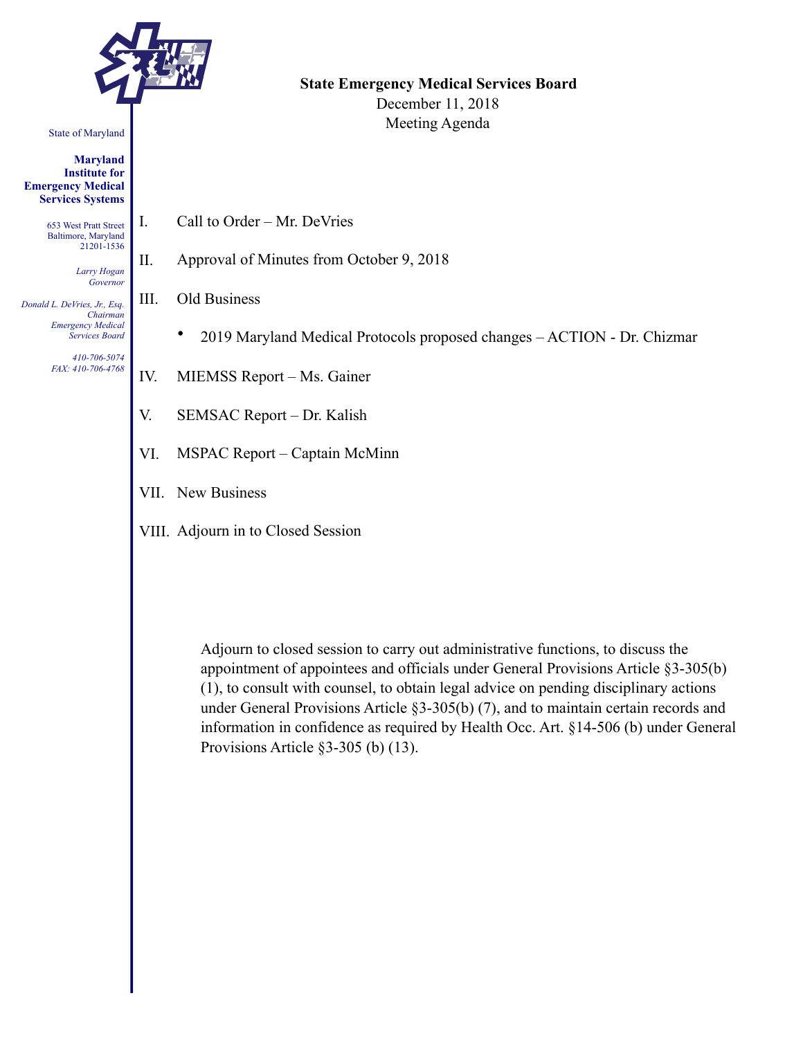

#### State of Maryland

**Maryland Institute for Emergency Medical Services Systems** 

> 653 West Pratt Street Baltimore, Maryland 21201-1536

> > *Larry Hogan Governor*

*Donald L. DeVries, Jr., Esq. Chairman Emergency Medical Services Board* 

> *410-706-5074 FAX: 410-706-4768*

**State Emergency Medical Services Board**  December 11, 2018 Meeting Agenda

- I. Call to Order Mr. DeVries
- II. Approval of Minutes from October 9, 2018
- III. Old Business
	- 2019 Maryland Medical Protocols proposed changes ACTION Dr. Chizmar
- IV. MIEMSS Report Ms. Gainer
- V. SEMSAC Report Dr. Kalish
- VI. MSPAC Report Captain McMinn
- VII. New Business
- VIII. Adjourn in to Closed Session

Adjourn to closed session to carry out administrative functions, to discuss the appointment of appointees and officials under General Provisions Article §3-305(b) (1), to consult with counsel, to obtain legal advice on pending disciplinary actions under General Provisions Article §3-305(b) (7), and to maintain certain records and information in confidence as required by Health Occ. Art. §14-506 (b) under General Provisions Article §3-305 (b) (13).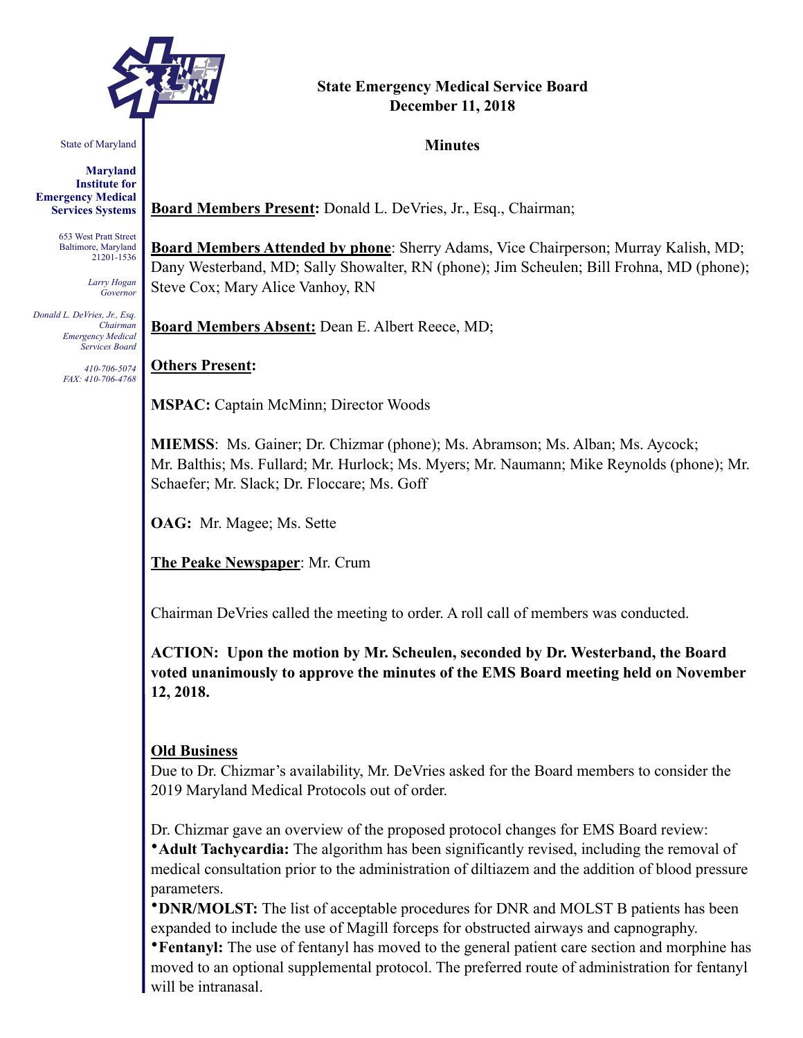

# **State Emergency Medical Service Board December 11, 2018**

#### **Minutes**

State of Maryland

**Maryland Institute for Emergency Medical Services Systems** 

> 653 West Pratt Street Baltimore, Maryland 21201-1536

> > *Larry Hogan Governor*

*Donald L. DeVries, Jr., Esq. Chairman Emergency Medical Services Board* 

> *410-706-5074 FAX: 410-706-4768*

**Board Members Present:** Donald L. DeVries, Jr., Esq., Chairman;

**Board Members Attended by phone**: Sherry Adams, Vice Chairperson; Murray Kalish, MD; Dany Westerband, MD; Sally Showalter, RN (phone); Jim Scheulen; Bill Frohna, MD (phone); Steve Cox; Mary Alice Vanhoy, RN

**Board Members Absent:** Dean E. Albert Reece, MD;

**Others Present:**

**MSPAC:** Captain McMinn; Director Woods

**MIEMSS**: Ms. Gainer; Dr. Chizmar (phone); Ms. Abramson; Ms. Alban; Ms. Aycock; Mr. Balthis; Ms. Fullard; Mr. Hurlock; Ms. Myers; Mr. Naumann; Mike Reynolds (phone); Mr. Schaefer; Mr. Slack; Dr. Floccare; Ms. Goff

**OAG:** Mr. Magee; Ms. Sette

**The Peake Newspaper**: Mr. Crum

Chairman DeVries called the meeting to order. A roll call of members was conducted.

**ACTION: Upon the motion by Mr. Scheulen, seconded by Dr. Westerband, the Board voted unanimously to approve the minutes of the EMS Board meeting held on November 12, 2018.** 

### **Old Business**

Due to Dr. Chizmar's availability, Mr. DeVries asked for the Board members to consider the 2019 Maryland Medical Protocols out of order.

Dr. Chizmar gave an overview of the proposed protocol changes for EMS Board review:

•**Adult Tachycardia:** The algorithm has been significantly revised, including the removal of medical consultation prior to the administration of diltiazem and the addition of blood pressure parameters.

•**DNR/MOLST:** The list of acceptable procedures for DNR and MOLST B patients has been expanded to include the use of Magill forceps for obstructed airways and capnography.

•**Fentanyl:** The use of fentanyl has moved to the general patient care section and morphine has moved to an optional supplemental protocol. The preferred route of administration for fentanyl will be intranasal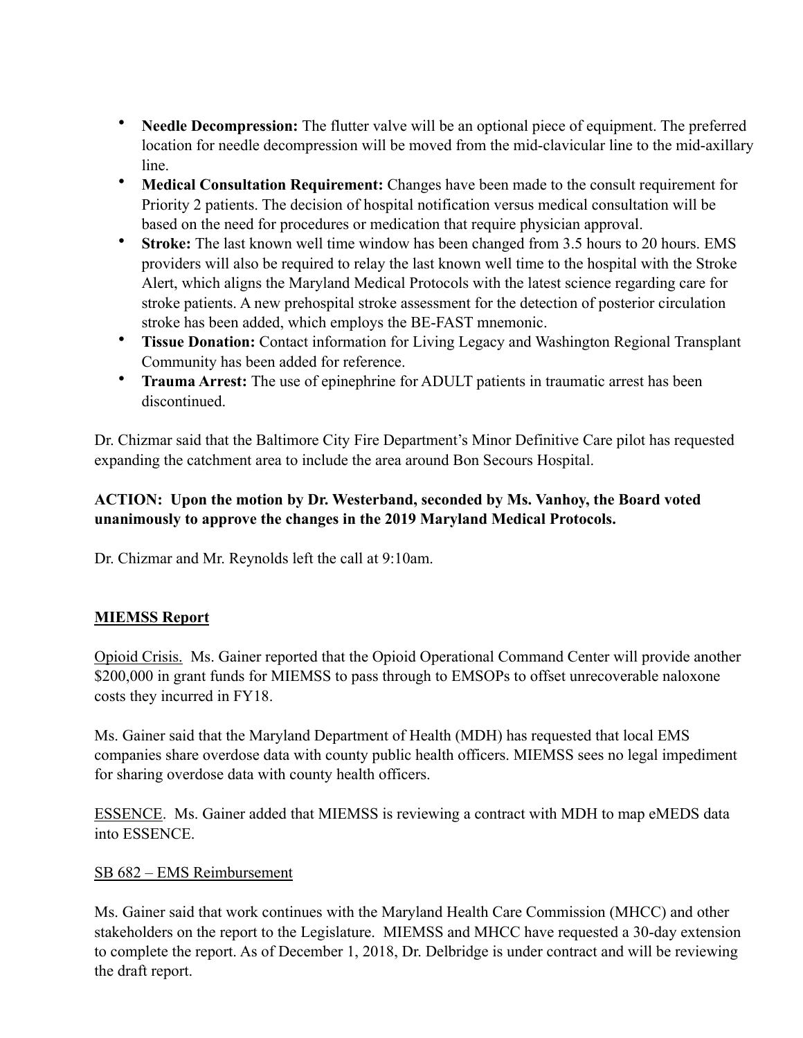- **Needle Decompression:** The flutter valve will be an optional piece of equipment. The preferred location for needle decompression will be moved from the mid-clavicular line to the mid-axillary line.
- **Medical Consultation Requirement:** Changes have been made to the consult requirement for Priority 2 patients. The decision of hospital notification versus medical consultation will be based on the need for procedures or medication that require physician approval.
- **Stroke:** The last known well time window has been changed from 3.5 hours to 20 hours. EMS providers will also be required to relay the last known well time to the hospital with the Stroke Alert, which aligns the Maryland Medical Protocols with the latest science regarding care for stroke patients. A new prehospital stroke assessment for the detection of posterior circulation stroke has been added, which employs the BE-FAST mnemonic.
- **Tissue Donation:** Contact information for Living Legacy and Washington Regional Transplant Community has been added for reference.
- **Trauma Arrest:** The use of epinephrine for ADULT patients in traumatic arrest has been discontinued.

Dr. Chizmar said that the Baltimore City Fire Department's Minor Definitive Care pilot has requested expanding the catchment area to include the area around Bon Secours Hospital.

# **ACTION: Upon the motion by Dr. Westerband, seconded by Ms. Vanhoy, the Board voted unanimously to approve the changes in the 2019 Maryland Medical Protocols.**

Dr. Chizmar and Mr. Reynolds left the call at 9:10am.

# **MIEMSS Report**

Opioid Crisis. Ms. Gainer reported that the Opioid Operational Command Center will provide another \$200,000 in grant funds for MIEMSS to pass through to EMSOPs to offset unrecoverable naloxone costs they incurred in FY18.

Ms. Gainer said that the Maryland Department of Health (MDH) has requested that local EMS companies share overdose data with county public health officers. MIEMSS sees no legal impediment for sharing overdose data with county health officers.

ESSENCE. Ms. Gainer added that MIEMSS is reviewing a contract with MDH to map eMEDS data into ESSENCE.

### SB 682 – EMS Reimbursement

Ms. Gainer said that work continues with the Maryland Health Care Commission (MHCC) and other stakeholders on the report to the Legislature. MIEMSS and MHCC have requested a 30-day extension to complete the report. As of December 1, 2018, Dr. Delbridge is under contract and will be reviewing the draft report.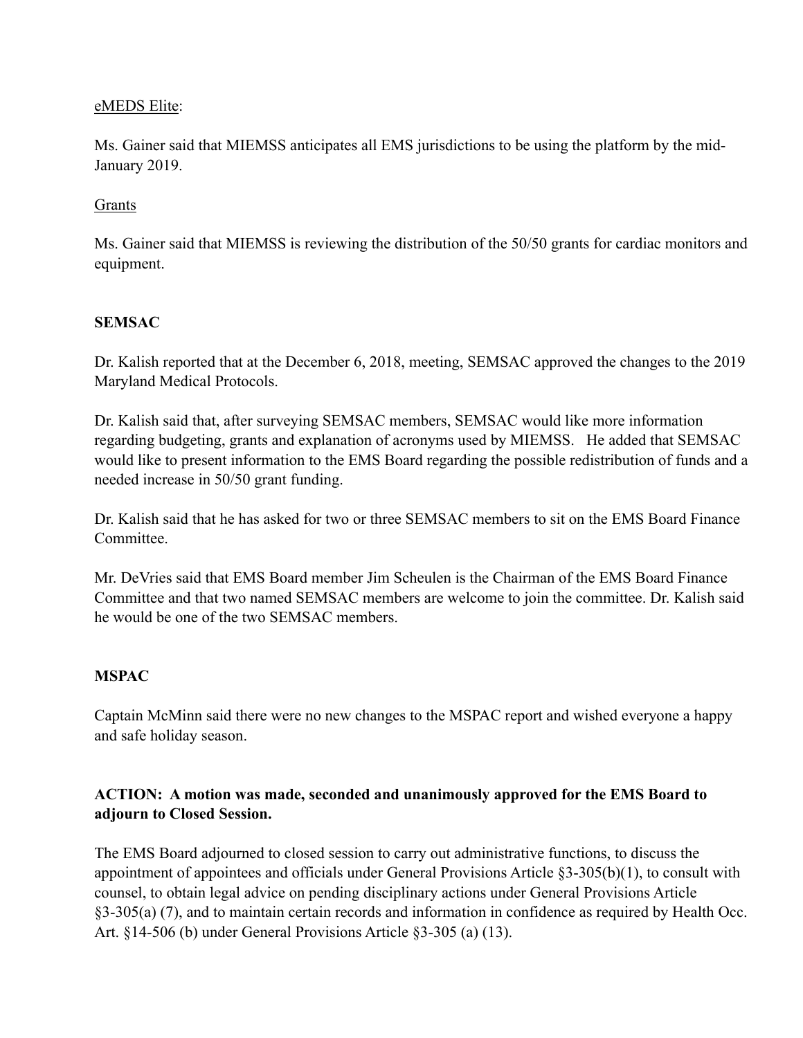#### eMEDS Elite:

Ms. Gainer said that MIEMSS anticipates all EMS jurisdictions to be using the platform by the mid-January 2019.

#### Grants

Ms. Gainer said that MIEMSS is reviewing the distribution of the 50/50 grants for cardiac monitors and equipment.

### **SEMSAC**

Dr. Kalish reported that at the December 6, 2018, meeting, SEMSAC approved the changes to the 2019 Maryland Medical Protocols.

Dr. Kalish said that, after surveying SEMSAC members, SEMSAC would like more information regarding budgeting, grants and explanation of acronyms used by MIEMSS. He added that SEMSAC would like to present information to the EMS Board regarding the possible redistribution of funds and a needed increase in 50/50 grant funding.

Dr. Kalish said that he has asked for two or three SEMSAC members to sit on the EMS Board Finance **Committee** 

Mr. DeVries said that EMS Board member Jim Scheulen is the Chairman of the EMS Board Finance Committee and that two named SEMSAC members are welcome to join the committee. Dr. Kalish said he would be one of the two SEMSAC members.

### **MSPAC**

Captain McMinn said there were no new changes to the MSPAC report and wished everyone a happy and safe holiday season.

## **ACTION: A motion was made, seconded and unanimously approved for the EMS Board to adjourn to Closed Session.**

The EMS Board adjourned to closed session to carry out administrative functions, to discuss the appointment of appointees and officials under General Provisions Article §3-305(b)(1), to consult with counsel, to obtain legal advice on pending disciplinary actions under General Provisions Article §3-305(a) (7), and to maintain certain records and information in confidence as required by Health Occ. Art. §14-506 (b) under General Provisions Article §3-305 (a) (13).